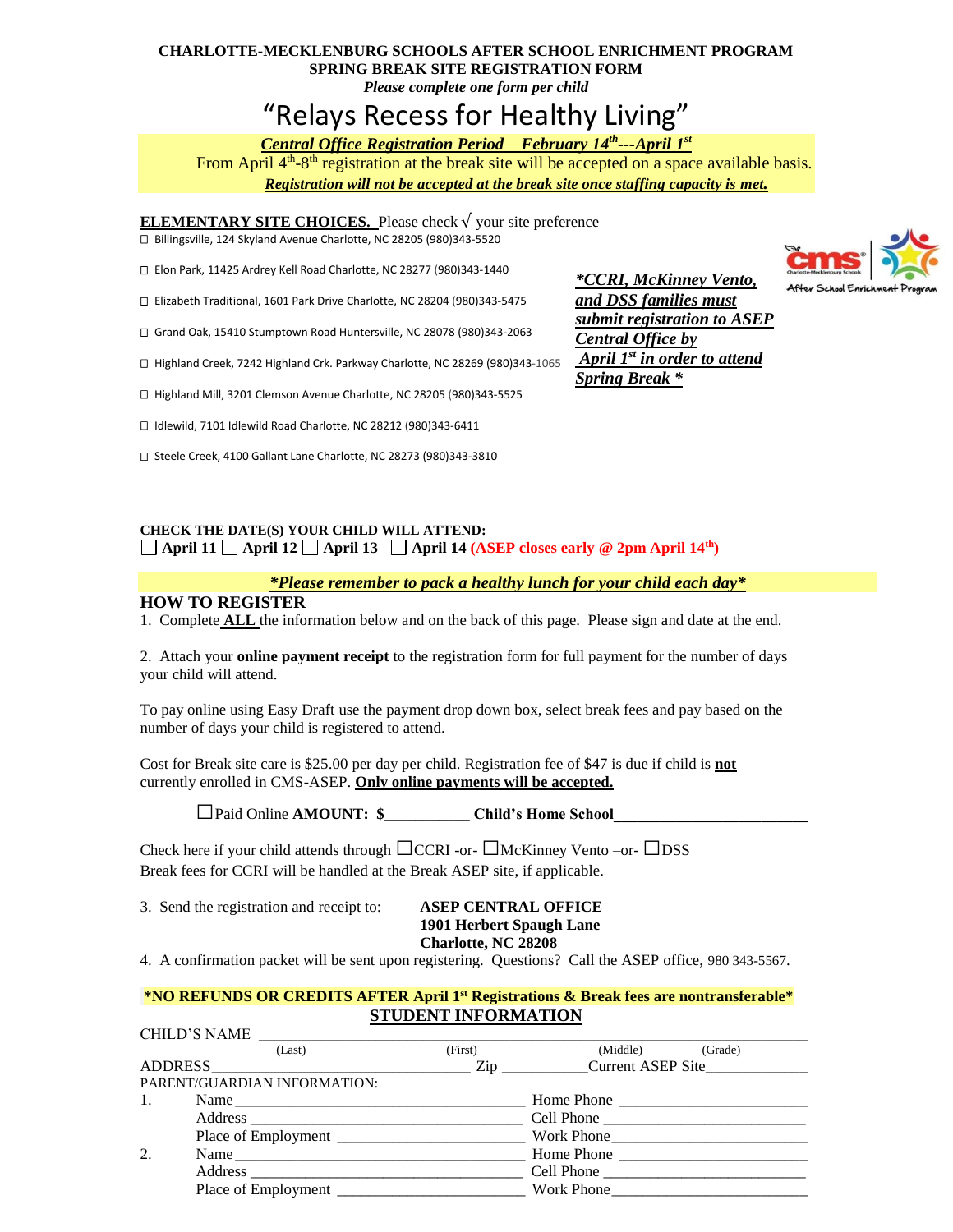## **CHARLOTTE-MECKLENBURG SCHOOLS AFTER SCHOOL ENRICHMENT PROGRAM SPRING BREAK SITE REGISTRATION FORM**

*Please complete one form per child* 

# "Relays Recess for Healthy Living"

### *Central Office Registration Period February 14th ---April 1st*

From April 4<sup>th</sup>-8<sup>th</sup> registration at the break site will be accepted on a space available basis. *Registration will not be accepted at the break site once staffing capacity is met.*

**ELEMENTARY SITE CHOICES.** Please check  $\sqrt{\ }$  your site preference Billingsville, 124 Skyland Avenue Charlotte, NC 28205 (980)343-5520

Elon Park, 11425 Ardrey Kell Road Charlotte, NC 28277 (980)343-1440

Elizabeth Traditional, 1601 Park Drive Charlotte, NC 28204 (980)343-5475

Grand Oak, 15410 Stumptown Road Huntersville, NC 28078 (980)343-2063

□ Highland Creek, 7242 Highland Crk. Parkway Charlotte, NC 28269 (980)343-1065

□ Highland Mill, 3201 Clemson Avenue Charlotte, NC 28205 (980)343-5525

Idlewild, 7101 Idlewild Road Charlotte, NC 28212 (980)343-6411

Steele Creek, 4100 Gallant Lane Charlotte, NC 28273 (980)343-3810

*\*CCRI, McKinney Vento, and DSS families must submit registration to ASEP Central Office by April 1 st in order to attend Spring Break \**



#### **CHECK THE DATE(S) YOUR CHILD WILL ATTEND:**  $\Box$  April 11  $\Box$  April 12  $\Box$  April 13  $\Box$  April 14 (ASEP closes early  $\circledcirc$  2pm April 14<sup>th</sup>)

#### *\*Please remember to pack a healthy lunch for your child each day\**

#### **HOW TO REGISTER**

1. Complete **ALL** the information below and on the back of this page. Please sign and date at the end.

2. Attach your **online payment receipt** to the registration form for full payment for the number of days your child will attend.

To pay online using Easy Draft use the payment drop down box, select break fees and pay based on the number of days your child is registered to attend.

Cost for Break site care is \$25.00 per day per child. Registration fee of \$47 is due if child is **not** currently enrolled in CMS-ASEP. **Only online payments will be accepted.**

□Paid Online **AMOUNT: \$\_\_\_\_\_\_\_\_\_\_\_ Child's Home School\_\_\_\_\_\_\_\_\_\_\_\_\_\_\_\_\_\_\_\_\_\_\_\_\_**

Check here if your child attends through  $\Box$ CCRI -or- $\Box$ McKinney Vento -or- $\Box$ DSS Break fees for CCRI will be handled at the Break ASEP site, if applicable.

3. Send the registration and receipt to: **ASEP CENTRAL OFFICE**

## **1901 Herbert Spaugh Lane Charlotte, NC 28208**

4. A confirmation packet will be sent upon registering. Questions? Call the ASEP office, 980 343-5567.

#### **\*NO REFUNDS OR CREDITS AFTER April 1 st Registrations & Break fees are nontransferable\* STUDENT INFORMATION**

|                                                                                                                                                                                                                                | CHILD'S NAME                                                                                                                                                                                                                  |         |                  |  |
|--------------------------------------------------------------------------------------------------------------------------------------------------------------------------------------------------------------------------------|-------------------------------------------------------------------------------------------------------------------------------------------------------------------------------------------------------------------------------|---------|------------------|--|
|                                                                                                                                                                                                                                | (Last)                                                                                                                                                                                                                        | (First) | (Middle) (Grade) |  |
| ADDRESS CONTROL CONTROL CONTROL CONTROL CONTROL CONTROL CONTROL CONTROL CONTROL CONTROL CONTROL CONTROL CONTROL CONTROL CONTROL CONTROL CONTROL CONTROL CONTROL CONTROL CONTROL CONTROL CONTROL CONTROL CONTROL CONTROL CONTRO |                                                                                                                                                                                                                               |         |                  |  |
|                                                                                                                                                                                                                                | PARENT/GUARDIAN INFORMATION:                                                                                                                                                                                                  |         |                  |  |
| 1.                                                                                                                                                                                                                             |                                                                                                                                                                                                                               |         |                  |  |
|                                                                                                                                                                                                                                |                                                                                                                                                                                                                               |         |                  |  |
|                                                                                                                                                                                                                                |                                                                                                                                                                                                                               |         |                  |  |
| 2.                                                                                                                                                                                                                             | Name                                                                                                                                                                                                                          |         |                  |  |
|                                                                                                                                                                                                                                | Address Cell Phone Cell Phone Cell Phone Cell Phone Cell Phone Cell Phone Cell Phone Cell Phone Cell Phone Cell Phone Cell Phone Cell Phone Cell Phone Cell Phone Cell Phone Cell Phone Cell Phone Cell Phone Cell Phone Cell |         |                  |  |
|                                                                                                                                                                                                                                |                                                                                                                                                                                                                               |         |                  |  |
|                                                                                                                                                                                                                                |                                                                                                                                                                                                                               |         |                  |  |